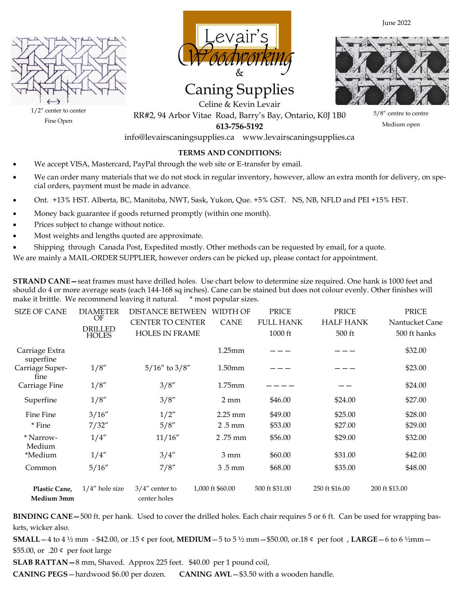



# Caning Supplies



June 2022

Celine & Kevin Levair RR#2, 94 Arbor Vitae Road, Barry's Bay, Ontario, K0J 1B0 **613-756-5192** 

5/8" centre to centre Medium open

 $1/2$ " center to center Fine Open

info@levairscaningsupplies.ca www.levairscaningsupplies.ca

# **TERMS AND CONDITIONS:**

- We accept VISA, Mastercard, PayPal through the web site or E-transfer by email.
- We can order many materials that we do not stock in regular inventory, however, allow an extra month for delivery, on special orders, payment must be made in advance.
- Ont. +13% HST. Alberta, BC, Manitoba, NWT, Sask, Yukon, Que. +5% GST. NS, NB, NFLD and PEI +15% HST.
- Money back guarantee if goods returned promptly (within one month).
- Prices subject to change without notice.
- Most weights and lengths quoted are approximate.
- Shipping through Canada Post, Expedited mostly. Other methods can be requested by email, for a quote.

We are mainly a MAIL-ORDER SUPPLIER, however orders can be picked up, please contact for appointment.

**STRAND CANE—**seat frames must have drilled holes. Use chart below to determine size required. One hank is 1000 feet and should do 4 or more average seats (each 144-168 sq inches). Cane can be stained but does not colour evenly. Other finishes will make it brittle. We recommend leaving it natural. \* most popular sizes.

| <b>SIZE OF CANE</b>         | <b>DIAMETER</b><br>OF<br><b>DRILLED</b><br><b>HOLES</b> | <b>DISTANCE BETWEEN</b><br><b>CENTER TO CENTER</b><br><b>HOLES IN FRAME</b> | WIDTH OF<br><b>CANE</b> | PRICE<br><b>FULL HANK</b><br>1000 ft | <b>PRICE</b><br><b>HALF HANK</b><br>500 ft | <b>PRICE</b><br>Nantucket Cane<br>500 ft hanks |
|-----------------------------|---------------------------------------------------------|-----------------------------------------------------------------------------|-------------------------|--------------------------------------|--------------------------------------------|------------------------------------------------|
| Carriage Extra<br>superfine |                                                         |                                                                             | 1.25mm                  |                                      |                                            | \$32.00                                        |
| Carriage Super-<br>fine     | 1/8''                                                   | $5/16''$ to $3/8''$                                                         | 1.50 <sub>mm</sub>      |                                      |                                            | \$23.00                                        |
| Carriage Fine               | 1/8''                                                   | 3/8''                                                                       | $1.75$ mm               |                                      |                                            | \$24.00                                        |
| Superfine                   | 1/8''                                                   | 3/8''                                                                       | $2 \text{ mm}$          | \$46.00                              | \$24.00                                    | \$27.00                                        |
| Fine Fine                   | 3/16''                                                  | 1/2''                                                                       | $2.25$ mm               | \$49.00                              | \$25.00                                    | \$28.00                                        |
| * Fine                      | 7/32''                                                  | 5/8''                                                                       | 2.5 mm                  | \$53.00                              | \$27.00                                    | \$29.00                                        |
| * Narrow-<br>Medium         | 1/4''                                                   | 11/16"                                                                      | 2.75 mm                 | \$56.00                              | \$29.00                                    | \$32.00                                        |
| *Medium                     | 1/4''                                                   | 3/4''                                                                       | $3 \text{ mm}$          | \$60.00                              | \$31.00                                    | \$42.00                                        |
| Common                      | 5/16''                                                  | 7/8''                                                                       | $3.5 \,\mathrm{mm}$     | \$68.00                              | \$35.00                                    | \$48.00                                        |
| Plastic Cane,<br>Medium 3mm | $1/4$ " hole size                                       | $3/4$ " center to<br>center holes                                           | 1,000 ft \$60.00        | 500 ft \$31.00                       | 250 ft \$16.00                             | 200 ft \$13.00                                 |

**BINDING CANE—**500 ft. per hank. Used to cover the drilled holes. Each chair requires 5 or 6 ft. Can be used for wrapping baskets, wicker also.

**SMALL**—4 to 4 ½ mm - \$42.00, or .15 ¢ per foot, **MEDIUM**—5 to 5 ½ mm—\$50.00, or.18 ¢ per foot , **LARGE**—6 to 6 ½mm— \$55.00, or .20 ¢ per foot large

**SLAB RATTAN—**8 mm, Shaved. Approx 225 feet. \$40.00 per 1 pound coil,

**CANING PEGS**—hardwood \$6.00 per dozen. **CANING AWL**—\$3.50 with a wooden handle.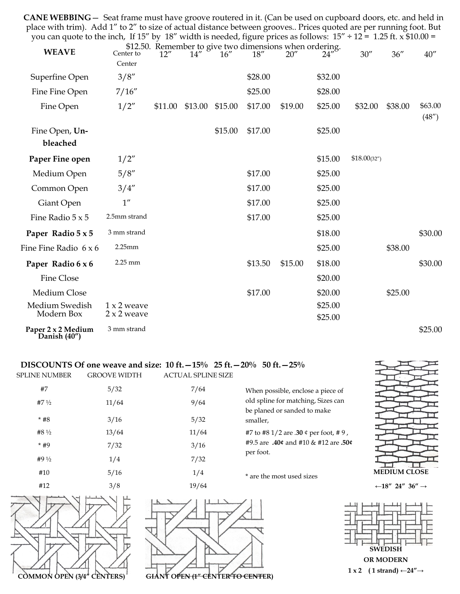**CANE WEBBING**— Seat frame must have groove routered in it. (Can be used on cupboard doors, etc. and held in place with trim). Add 1" to 2" to size of actual distance between grooves.. Prices quoted are per running foot. But you can quote to the inch, If 15" by 18" width is needed, figure prices as follows:  $15" \div 12 = 1.25$  ft.  $\times$  \$10.00 =

| <b>WEAVE</b>                       | Center to<br>Center                 | 12''    | 14''    | 16"     | 18''    | \$12.50. Remember to give two dimensions when ordering.<br>20'' | 24"                | 30''         | 36''    | 40''              |
|------------------------------------|-------------------------------------|---------|---------|---------|---------|-----------------------------------------------------------------|--------------------|--------------|---------|-------------------|
| Superfine Open                     | 3/8''                               |         |         |         | \$28.00 |                                                                 | \$32.00            |              |         |                   |
| Fine Fine Open                     | 7/16''                              |         |         |         | \$25.00 |                                                                 | \$28.00            |              |         |                   |
| Fine Open                          | 1/2''                               | \$11.00 | \$13.00 | \$15.00 | \$17.00 | \$19.00                                                         | \$25.00            | \$32.00      | \$38.00 | \$63.00<br>(48'') |
| Fine Open, Un-<br>bleached         |                                     |         |         | \$15.00 | \$17.00 |                                                                 | \$25.00            |              |         |                   |
| Paper Fine open                    | 1/2"                                |         |         |         |         |                                                                 | \$15.00            | \$18.00(32") |         |                   |
| Medium Open                        | 5/8''                               |         |         |         | \$17.00 |                                                                 | \$25.00            |              |         |                   |
| Common Open                        | 3/4''                               |         |         |         | \$17.00 |                                                                 | \$25.00            |              |         |                   |
| Giant Open                         | $1^{\prime\prime}$                  |         |         |         | \$17.00 |                                                                 | \$25.00            |              |         |                   |
| Fine Radio $5 \times 5$            | 2.5mm strand                        |         |         |         | \$17.00 |                                                                 | \$25.00            |              |         |                   |
| Paper Radio 5 x 5                  | 3 mm strand                         |         |         |         |         |                                                                 | \$18.00            |              |         | \$30.00           |
| Fine Fine Radio 6 x 6              | 2.25mm                              |         |         |         |         |                                                                 | \$25.00            |              | \$38.00 |                   |
| Paper Radio 6 x 6                  | 2.25 mm                             |         |         |         | \$13.50 | \$15.00                                                         | \$18.00            |              |         | \$30.00           |
| Fine Close                         |                                     |         |         |         |         |                                                                 | \$20.00            |              |         |                   |
| Medium Close                       |                                     |         |         |         | \$17.00 |                                                                 | \$20.00            |              | \$25.00 |                   |
| Medium Swedish<br>Modern Box       | $1 x 2$ weave<br>$2 \times 2$ weave |         |         |         |         |                                                                 | \$25.00<br>\$25.00 |              |         |                   |
| Paper 2 x 2 Medium<br>Danish (40") | 3 mm strand                         |         |         |         |         |                                                                 |                    |              |         | \$25.00           |

# **DISCOUNTS Of one weave and size: 10 ft.—15% 25 ft.—20% 50 ft.—25%**

| <b>SPLINE NUMBER</b> | <b>GROOVE WIDTH</b> | <b>ACTUAL SPLINE SIZE</b> |
|----------------------|---------------------|---------------------------|
| #7                   | 5/32                | 7/64                      |
| #7 $\frac{1}{2}$     | 11/64               | 9/64                      |
| $*$ #8               | 3/16                | 5/32                      |
| #8 $\frac{1}{2}$     | 13/64               | 11/64                     |
| $*#9$                | 7/32                | 3/16                      |
| #9 $\frac{1}{2}$     | 1/4                 | 7/32                      |
| #10                  | 5/16                | 1/4                       |
| #12                  | 3/8                 | 10/61                     |

| $7/0 +$ |  |
|---------|--|
| 9/64    |  |
| 5/32    |  |
| 11/64   |  |
| 3/16    |  |
| 7/32    |  |
| 1/4     |  |
| 10/61   |  |

When possible, enclose a piece of old spline for matching, Sizes can be planed or sanded to make smaller, #7 to #8 1/2 are .**30** ¢ per foot, # 9 , #9.5 are **.40¢** and #10 & #12 are **.50¢**  per foot.

\* are the most used sizes



**←18" 24" 36" →**





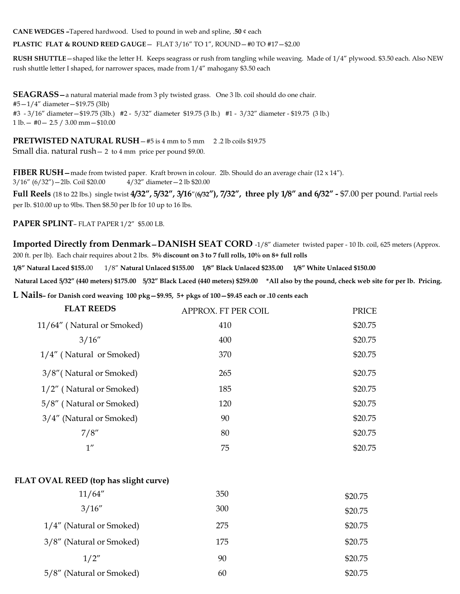**CANE WEDGES –**Tapered hardwood. Used to pound in web and spline, .**50** ¢ each

**PLASTIC FLAT & ROUND REED GAUGE**— FLAT 3/16" TO 1", ROUND—#0 TO #17—\$2.00

**RUSH SHUTTLE**—shaped like the letter H. Keeps seagrass or rush from tangling while weaving. Made of 1/4" plywood. \$3.50 each. Also NEW rush shuttle letter I shaped, for narrower spaces, made from 1/4" mahogany \$3.50 each

**SEAGRASS—**a natural material made from 3 ply twisted grass. One 3 lb. coil should do one chair. #5—1/4" diameter—\$19.75 (3lb) #3 - 3/16" diameter—\$19.75 (3lb.) #2 - 5/32" diameter \$19.75 (3 lb.) #1 - 3/32" diameter - \$19.75 (3 lb.) 1 lb.— #0— 2.5 / 3.00 mm—\$10.00

**PRETWISTED NATURAL RUSH - #5 is 4 mm to 5 mm 2.2 lb coils \$19.75** Small dia. natural rush— 2 to 4 mm price per pound \$9.00.

**FIBER RUSH—**made from twisted paper. Kraft brown in colour. 2lb. Should do an average chair (12 x 14"). 3/16" (6/32")—2lb. Coil \$20.00 4/32" diameter—2 lb \$20.00

**Full Reels** (18 to 22 lbs.) single twist **4/32", 5/32", 3/16**"(**6/32"), 7/32", three ply 1/8" and 6/32" -** \$7.00 per pound. Partial reels per lb. \$10.00 up to 9lbs. Then \$8.50 per lb for 10 up to 16 lbs.

**PAPER SPLINT**– FLAT PAPER 1/2" \$5.00 LB.

**Imported Directly from Denmark—DANISH SEAT CORD** -1/8" diameter twisted paper - 10 lb. coil, 625 meters (Approx. 200 ft. per lb). Each chair requires about 2 lbs. **5% discount on 3 to 7 full rolls, 10% on 8+ full rolls**

**1/8" Natural Laced \$155.**00 1/8" **Natural Unlaced \$155.00 1/8" Black Unlaced \$235.00 1/8" White Unlaced \$150.00**

**Natural Laced 5/32" (440 meters) \$175.00 5/32" Black Laced (440 meters) \$259.00 \*All also by the pound, check web site for per lb. Pricing.** 

**L Nails– for Danish cord weaving 100 pkg—\$9.95, 5+ pkgs of 100—\$9.45 each or .10 cents each** 

| <b>FLAT REEDS</b>          | APPROX. FT PER COIL | <b>PRICE</b> |
|----------------------------|---------------------|--------------|
| 11/64" (Natural or Smoked) | 410                 | \$20.75      |
| 3/16''                     | 400                 | \$20.75      |
| 1/4" (Natural or Smoked)   | 370                 | \$20.75      |
| 3/8" (Natural or Smoked)   | 265                 | \$20.75      |
| 1/2" (Natural or Smoked)   | 185                 | \$20.75      |
| 5/8" (Natural or Smoked)   | 120                 | \$20.75      |
| 3/4" (Natural or Smoked)   | 90                  | \$20.75      |
| 7/8''                      | 80                  | \$20.75      |
| 1''                        | 75                  | \$20.75      |

### **FLAT OVAL REED (top has slight curve)**

| 11/64''                  | 350 | \$20.75 |
|--------------------------|-----|---------|
| 3/16''                   | 300 | \$20.75 |
| 1/4" (Natural or Smoked) | 275 | \$20.75 |
| 3/8" (Natural or Smoked) | 175 | \$20.75 |
| 1/2''                    | 90  | \$20.75 |
| 5/8" (Natural or Smoked) | 60  | \$20.75 |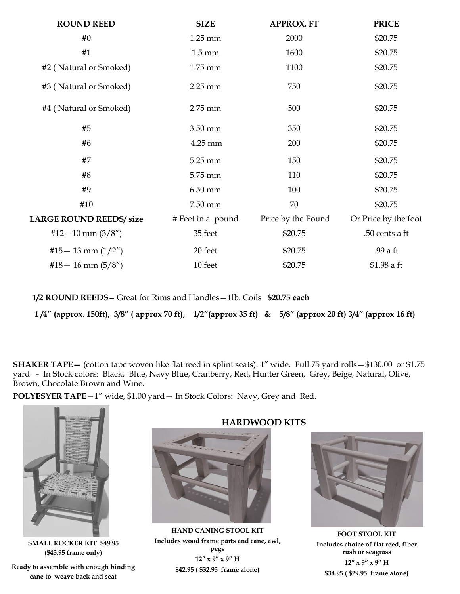| <b>SIZE</b>       | <b>APPROX. FT</b>  | <b>PRICE</b>         |
|-------------------|--------------------|----------------------|
| $1.25 \text{ mm}$ | 2000               | \$20.75              |
| $1.5 \text{ mm}$  | 1600               | \$20.75              |
| 1.75 mm           | 1100               | \$20.75              |
| $2.25$ mm         | 750                | \$20.75              |
| 2.75 mm           | 500                | \$20.75              |
| 3.50 mm           | 350                | \$20.75              |
| 4.25 mm           | 200                | \$20.75              |
| 5.25 mm           | 150                | \$20.75              |
| 5.75 mm           | 110                | \$20.75              |
| $6.50$ mm         | 100                | \$20.75              |
| 7.50 mm           | 70                 | \$20.75              |
| # Feet in a pound | Price by the Pound | Or Price by the foot |
| 35 feet           | \$20.75            | .50 cents a ft       |
| 20 feet           | \$20.75            | .99 a ft             |
| 10 feet           | \$20.75            | \$1.98 a ft          |
|                   |                    |                      |

**1/2 ROUND REEDS—** Great for Rims and Handles—1lb. Coils **\$20.75 each**

**1 /4" (approx. 150ft), 3/8" ( approx 70 ft), 1/2"(approx 35 ft) & 5/8" (approx 20 ft) 3/4" (approx 16 ft)**

**SHAKER TAPE—** (cotton tape woven like flat reed in splint seats). 1" wide. Full 75 yard rolls—\$130.00 or \$1.75 yard - In Stock colors: Black, Blue, Navy Blue, Cranberry, Red, Hunter Green, Grey, Beige, Natural, Olive, Brown, Chocolate Brown and Wine.

**POLYESYER TAPE**—1" wide, \$1.00 yard— In Stock Colors: Navy, Grey and Red.



**SMALL ROCKER KIT \$49.95 (\$45.95 frame only)** 

**Ready to assemble with enough binding cane to weave back and seat** 

# **HARDWOOD KITS**



**HAND CANING STOOL KIT Includes wood frame parts and cane, awl, pegs 12" x 9" x 9" H \$42.95 ( \$32.95 frame alone)** 

**FOOT STOOL KIT Includes choice of flat reed, fiber rush or seagrass 12" x 9" x 9" H \$34.95 ( \$29.95 frame alone)**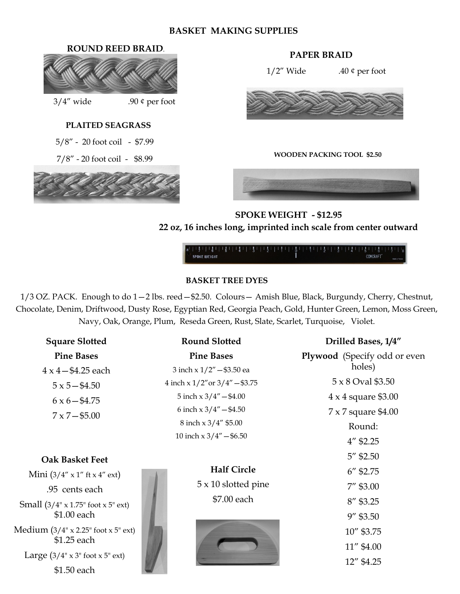# **BASKET MAKING SUPPLIES**

# **ROUND REED BRAID. PAPER BRAID**



 $3/4''$  wide .90 ¢ per foot

# **PLAITED SEAGRASS**

5/8" - 20 foot coil - \$7.99

7/8" - 20 foot coil - \$8.99



 $1/2$ " Wide .40 ¢ per foot



#### **WOODEN PACKING TOOL \$2.50**



# **SPOKE WEIGHT - \$12.95 22 oz, 16 inches long, imprinted inch scale from center outward**



# **BASKET TREE DYES**

1/3 OZ. PACK. Enough to do 1—2 lbs. reed—\$2.50. Colours— Amish Blue, Black, Burgundy, Cherry, Chestnut, Chocolate, Denim, Driftwood, Dusty Rose, Egyptian Red, Georgia Peach, Gold, Hunter Green, Lemon, Moss Green, Navy, Oak, Orange, Plum, Reseda Green, Rust, Slate, Scarlet, Turquoise, Violet.

| <b>Square Slotted</b>                                       | <b>Round Slotted</b>                 | Drilled Bases, 1/4"          |
|-------------------------------------------------------------|--------------------------------------|------------------------------|
| <b>Pine Bases</b>                                           | <b>Pine Bases</b>                    | Plywood (Specify odd or even |
| $4 \times 4 - $4.25$ each                                   | 3 inch x 1/2" - \$3.50 ea            | holes)                       |
| $5 \times 5 - $4.50$                                        | 4 inch x $1/2$ " or $3/4$ " - \$3.75 | 5 x 8 Oval \$3.50            |
| $6 \times 6 - $4.75$                                        | 5 inch $x 3/4'' - $4.00$             | $4 \times 4$ square \$3.00   |
| $7 \times 7 - $5.00$                                        | 6 inch $x 3/4'' - $4.50$             | 7 x 7 square \$4.00          |
|                                                             | 8 inch x 3/4" \$5.00                 | Round:                       |
|                                                             | 10 inch $x 3/4'' - $6.50$            | $4''$ \$2.25                 |
| <b>Oak Basket Feet</b>                                      |                                      | $5''$ \$2.50                 |
| Mini $(3/4'' \times 1''$ ft x 4" ext)                       | <b>Half Circle</b>                   | $6''$ \$2.75                 |
| .95 cents each                                              | $5 \times 10$ slotted pine           | $7''$ \$3.00                 |
| Small $(3/4" \times 1.75"$ foot x 5" ext)                   | \$7.00 each                          | $8''$ \$3.25                 |
| \$1.00 each                                                 |                                      | $9''$ \$3.50                 |
| Medium $(3/4" \times 2.25"$ foot $x 5"$ ext)<br>\$1.25 each |                                      | 10" \$3.75                   |
|                                                             |                                      | 11" \$4.00                   |
| Large $(3/4" \times 3"$ foot $\times 5"$ ext)               |                                      | 12" \$4.25                   |
| \$1.50 each                                                 |                                      |                              |